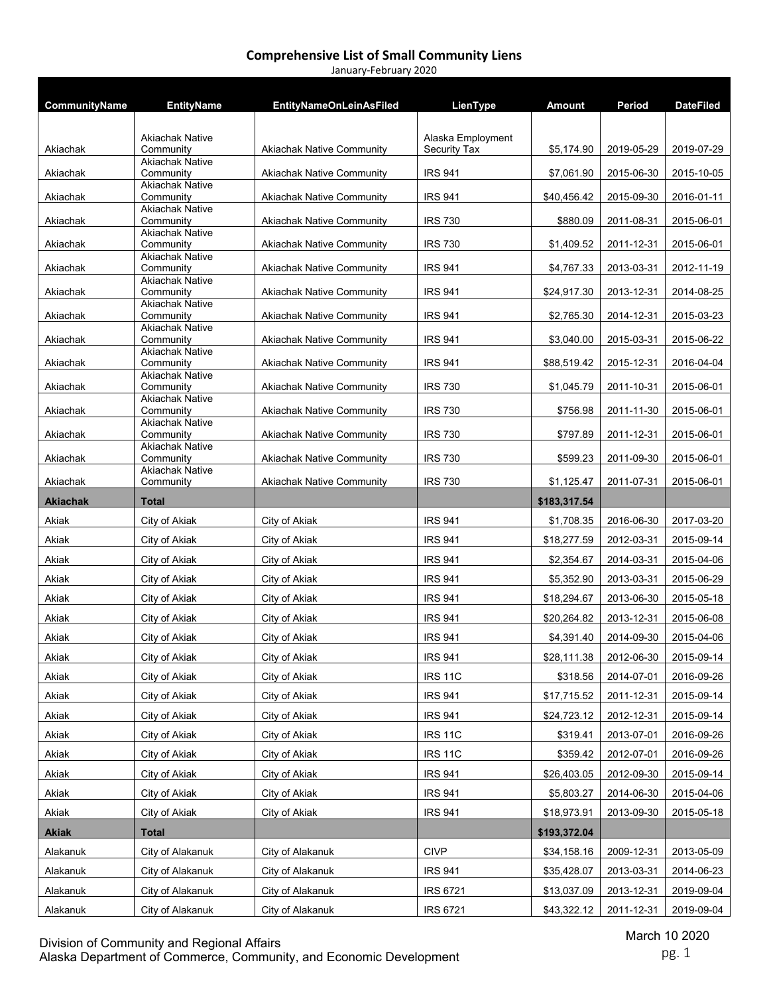| January-February 2020 |                                     |                                  |                                   |              |            |                  |
|-----------------------|-------------------------------------|----------------------------------|-----------------------------------|--------------|------------|------------------|
|                       |                                     |                                  |                                   |              |            |                  |
| CommunityName         | <b>EntityName</b>                   | <b>EntityNameOnLeinAsFiled</b>   | LienType                          | Amount       | Period     | <b>DateFiled</b> |
|                       |                                     |                                  |                                   |              |            |                  |
| Akiachak              | Akiachak Native<br>Community        | <b>Akiachak Native Community</b> | Alaska Employment<br>Security Tax | \$5,174.90   | 2019-05-29 | 2019-07-29       |
|                       | <b>Akiachak Native</b>              |                                  |                                   |              |            |                  |
| Akiachak              | Community<br><b>Akiachak Native</b> | <b>Akiachak Native Community</b> | <b>IRS 941</b>                    | \$7,061.90   | 2015-06-30 | 2015-10-05       |
| Akiachak              | Community                           | <b>Akiachak Native Community</b> | <b>IRS 941</b>                    | \$40,456.42  | 2015-09-30 | 2016-01-11       |
| Akiachak              | <b>Akiachak Native</b><br>Community | <b>Akiachak Native Community</b> | <b>IRS 730</b>                    | \$880.09     | 2011-08-31 | 2015-06-01       |
|                       | <b>Akiachak Native</b>              |                                  |                                   |              |            |                  |
| Akiachak              | Community<br><b>Akiachak Native</b> | <b>Akiachak Native Community</b> | <b>IRS 730</b>                    | \$1,409.52   | 2011-12-31 | 2015-06-01       |
| Akiachak              | Community                           | <b>Akiachak Native Community</b> | <b>IRS 941</b>                    | \$4,767.33   | 2013-03-31 | 2012-11-19       |
| Akiachak              | <b>Akiachak Native</b><br>Community | <b>Akiachak Native Community</b> | <b>IRS 941</b>                    | \$24,917.30  | 2013-12-31 | 2014-08-25       |
|                       | <b>Akiachak Native</b>              |                                  |                                   |              |            |                  |
| Akiachak              | Community<br><b>Akiachak Native</b> | <b>Akiachak Native Community</b> | <b>IRS 941</b>                    | \$2,765.30   | 2014-12-31 | 2015-03-23       |
| Akiachak              | Community                           | <b>Akiachak Native Community</b> | <b>IRS 941</b>                    | \$3,040.00   | 2015-03-31 | 2015-06-22       |
| Akiachak              | <b>Akiachak Native</b><br>Community | <b>Akiachak Native Community</b> | <b>IRS 941</b>                    | \$88,519.42  | 2015-12-31 | 2016-04-04       |
|                       | <b>Akiachak Native</b>              |                                  |                                   |              |            |                  |
| Akiachak              | Community<br><b>Akiachak Native</b> | <b>Akiachak Native Community</b> | <b>IRS 730</b>                    | \$1,045.79   | 2011-10-31 | 2015-06-01       |
| Akiachak              | Community                           | <b>Akiachak Native Community</b> | <b>IRS 730</b>                    | \$756.98     | 2011-11-30 | 2015-06-01       |
| Akiachak              | <b>Akiachak Native</b><br>Community | <b>Akiachak Native Community</b> | <b>IRS 730</b>                    | \$797.89     | 2011-12-31 | 2015-06-01       |
|                       | <b>Akiachak Native</b>              |                                  |                                   |              |            |                  |
| Akiachak              | Community<br><b>Akiachak Native</b> | <b>Akiachak Native Community</b> | <b>IRS 730</b>                    | \$599.23     | 2011-09-30 | 2015-06-01       |
| Akiachak              | Community                           | <b>Akiachak Native Community</b> | <b>IRS 730</b>                    | \$1,125.47   | 2011-07-31 | 2015-06-01       |
|                       |                                     |                                  |                                   |              |            |                  |
| <b>Akiachak</b>       | <b>Total</b>                        |                                  |                                   | \$183,317.54 |            |                  |
| Akiak                 | City of Akiak                       | City of Akiak                    | <b>IRS 941</b>                    | \$1,708.35   | 2016-06-30 | 2017-03-20       |
| Akiak                 | City of Akiak                       | City of Akiak                    | <b>IRS 941</b>                    | \$18,277.59  | 2012-03-31 | 2015-09-14       |
| Akiak                 | City of Akiak                       | City of Akiak                    | <b>IRS 941</b>                    | \$2,354.67   | 2014-03-31 | 2015-04-06       |
| Akiak                 | City of Akiak                       | City of Akiak                    | <b>IRS 941</b>                    | \$5,352.90   | 2013-03-31 | 2015-06-29       |
|                       |                                     |                                  | <b>IRS 941</b>                    |              |            |                  |
| Akiak                 | City of Akiak                       | City of Akiak                    |                                   | \$18,294.67  | 2013-06-30 | 2015-05-18       |
| Akiak                 | City of Akiak                       | City of Akiak                    | <b>IRS 941</b>                    | \$20,264.82  | 2013-12-31 | 2015-06-08       |
| Akiak                 | City of Akiak                       | City of Akiak                    | <b>IRS 941</b>                    | \$4,391.40   | 2014-09-30 | 2015-04-06       |
| Akiak                 | City of Akiak                       | City of Akiak                    | <b>IRS 941</b>                    | \$28,111.38  | 2012-06-30 | 2015-09-14       |
| Akiak                 | City of Akiak                       | City of Akiak                    | <b>IRS 11C</b>                    | \$318.56     | 2014-07-01 | 2016-09-26       |
| Akiak                 | City of Akiak                       | City of Akiak                    | <b>IRS 941</b>                    | \$17,715.52  | 2011-12-31 | 2015-09-14       |
| Akiak                 | City of Akiak                       | City of Akiak                    | <b>IRS 941</b>                    | \$24,723.12  | 2012-12-31 | 2015-09-14       |
| Akiak                 | City of Akiak                       | City of Akiak                    | <b>IRS 11C</b>                    | \$319.41     | 2013-07-01 | 2016-09-26       |
| Akiak                 | City of Akiak                       | City of Akiak                    | <b>IRS 11C</b>                    | \$359.42     | 2012-07-01 | 2016-09-26       |
| Akiak                 | City of Akiak                       | City of Akiak                    | <b>IRS 941</b>                    | \$26,403.05  | 2012-09-30 | 2015-09-14       |
| Akiak                 | City of Akiak                       | City of Akiak                    | <b>IRS 941</b>                    | \$5,803.27   | 2014-06-30 | 2015-04-06       |
| Akiak                 | City of Akiak                       | City of Akiak                    | <b>IRS 941</b>                    | \$18,973.91  | 2013-09-30 | 2015-05-18       |
| <b>Akiak</b>          | <b>Total</b>                        |                                  |                                   | \$193,372.04 |            |                  |
| Alakanuk              | City of Alakanuk                    | City of Alakanuk                 | <b>CIVP</b>                       | \$34,158.16  | 2009-12-31 | 2013-05-09       |
| Alakanuk              | City of Alakanuk                    | City of Alakanuk                 | <b>IRS 941</b>                    | \$35,428.07  | 2013-03-31 | 2014-06-23       |
| Alakanuk              | City of Alakanuk                    | City of Alakanuk                 | <b>IRS 6721</b>                   | \$13,037.09  | 2013-12-31 | 2019-09-04       |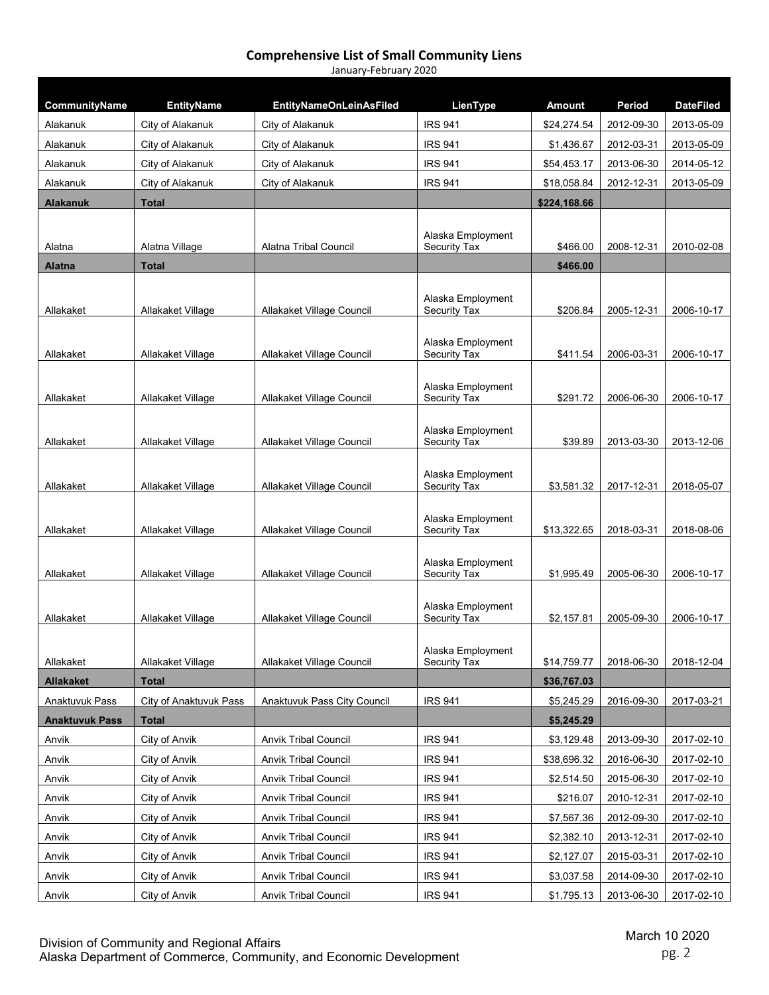| CommunityName<br>Alakanuk   | <b>EntityName</b>                    | <b>EntityNameOnLeinAsFiled</b>       | LienType<br><b>IRS 941</b>        | <b>Amount</b><br>\$24,274.54 | Period                   | <b>DateFiled</b><br>2013-05-09 |
|-----------------------------|--------------------------------------|--------------------------------------|-----------------------------------|------------------------------|--------------------------|--------------------------------|
| Alakanuk                    | City of Alakanuk<br>City of Alakanuk | City of Alakanuk<br>City of Alakanuk | <b>IRS 941</b>                    | \$1,436.67                   | 2012-09-30<br>2012-03-31 | 2013-05-09                     |
|                             |                                      | City of Alakanuk                     | <b>IRS 941</b>                    |                              | 2013-06-30               |                                |
| Alakanuk                    | City of Alakanuk                     |                                      | <b>IRS 941</b>                    | \$54,453.17<br>\$18,058.84   | 2012-12-31               | 2014-05-12                     |
| Alakanuk<br><b>Alakanuk</b> | City of Alakanuk<br><b>Total</b>     | City of Alakanuk                     |                                   | \$224,168.66                 |                          | 2013-05-09                     |
|                             |                                      |                                      |                                   |                              |                          |                                |
| Alatna                      | Alatna Village                       | Alatna Tribal Council                | Alaska Employment<br>Security Tax | \$466.00                     | 2008-12-31               | 2010-02-08                     |
| <b>Alatna</b>               | <b>Total</b>                         |                                      |                                   | \$466.00                     |                          |                                |
|                             |                                      |                                      | Alaska Employment                 |                              |                          |                                |
| Allakaket                   | Allakaket Village                    | Allakaket Village Council            | Security Tax                      | \$206.84                     | 2005-12-31               | 2006-10-17                     |
| Allakaket                   | Allakaket Village                    | Allakaket Village Council            | Alaska Employment<br>Security Tax | \$411.54                     | 2006-03-31               | 2006-10-17                     |
| Allakaket                   | Allakaket Village                    | Allakaket Village Council            | Alaska Employment<br>Security Tax | \$291.72                     | 2006-06-30               | 2006-10-17                     |
|                             |                                      |                                      |                                   |                              |                          |                                |
| Allakaket                   | Allakaket Village                    | Allakaket Village Council            | Alaska Employment<br>Security Tax | \$39.89                      | 2013-03-30               | 2013-12-06                     |
| Allakaket                   | Allakaket Village                    | Allakaket Village Council            | Alaska Employment<br>Security Tax | \$3,581.32                   | 2017-12-31               | 2018-05-07                     |
| Allakaket                   | Allakaket Village                    | Allakaket Village Council            | Alaska Employment<br>Security Tax | \$13,322.65                  | 2018-03-31               | 2018-08-06                     |
| Allakaket                   | Allakaket Village                    | Allakaket Village Council            | Alaska Employment<br>Security Tax | \$1,995.49                   | 2005-06-30               | 2006-10-17                     |
|                             |                                      |                                      | Alaska Employment                 |                              |                          |                                |
| Allakaket                   | Allakaket Village                    | Allakaket Village Council            | <b>Security Tax</b>               | \$2,157.81                   | 2005-09-30               | 2006-10-17                     |
| Allakaket                   | Allakaket Village                    | Allakaket Village Council            | Alaska Employment<br>Security Tax | \$14,759.77                  | 2018-06-30               | 2018-12-04                     |
| <b>Allakaket</b>            | <b>Total</b>                         |                                      |                                   | \$36,767.03                  |                          |                                |
| Anaktuvuk Pass              | City of Anaktuvuk Pass               | Anaktuvuk Pass City Council          | <b>IRS 941</b>                    | \$5,245.29                   | 2016-09-30               | 2017-03-21                     |
| <b>Anaktuvuk Pass</b>       | Total                                |                                      |                                   | \$5,245.29                   |                          |                                |
| Anvik                       | City of Anvik                        | <b>Anvik Tribal Council</b>          | <b>IRS 941</b>                    | \$3,129.48                   | 2013-09-30               | 2017-02-10                     |
| Anvik                       | City of Anvik                        | <b>Anvik Tribal Council</b>          | <b>IRS 941</b>                    | \$38,696.32                  | 2016-06-30               | 2017-02-10                     |
| Anvik                       | City of Anvik                        | <b>Anvik Tribal Council</b>          | <b>IRS 941</b>                    | \$2,514.50                   | 2015-06-30               | 2017-02-10                     |
| Anvik                       | City of Anvik                        | <b>Anvik Tribal Council</b>          | <b>IRS 941</b>                    | \$216.07                     | 2010-12-31               | 2017-02-10                     |
| Anvik                       | City of Anvik                        | <b>Anvik Tribal Council</b>          | <b>IRS 941</b>                    | \$7,567.36                   | 2012-09-30               | 2017-02-10                     |
| Anvik                       | City of Anvik                        | <b>Anvik Tribal Council</b>          | <b>IRS 941</b>                    | \$2,382.10                   | 2013-12-31               | 2017-02-10                     |
| Anvik                       | City of Anvik                        | <b>Anvik Tribal Council</b>          | <b>IRS 941</b>                    | \$2,127.07                   | 2015-03-31               | 2017-02-10                     |
| Anvik                       | City of Anvik                        | <b>Anvik Tribal Council</b>          | <b>IRS 941</b>                    | \$3,037.58                   | 2014-09-30               | 2017-02-10                     |
| <b>Anvik</b>                | City of Anvik                        | <b>Anvik Tribal Council</b>          | <b>IRS 941</b>                    | \$1,795.13                   | 2013-06-30               | 2017-02-10                     |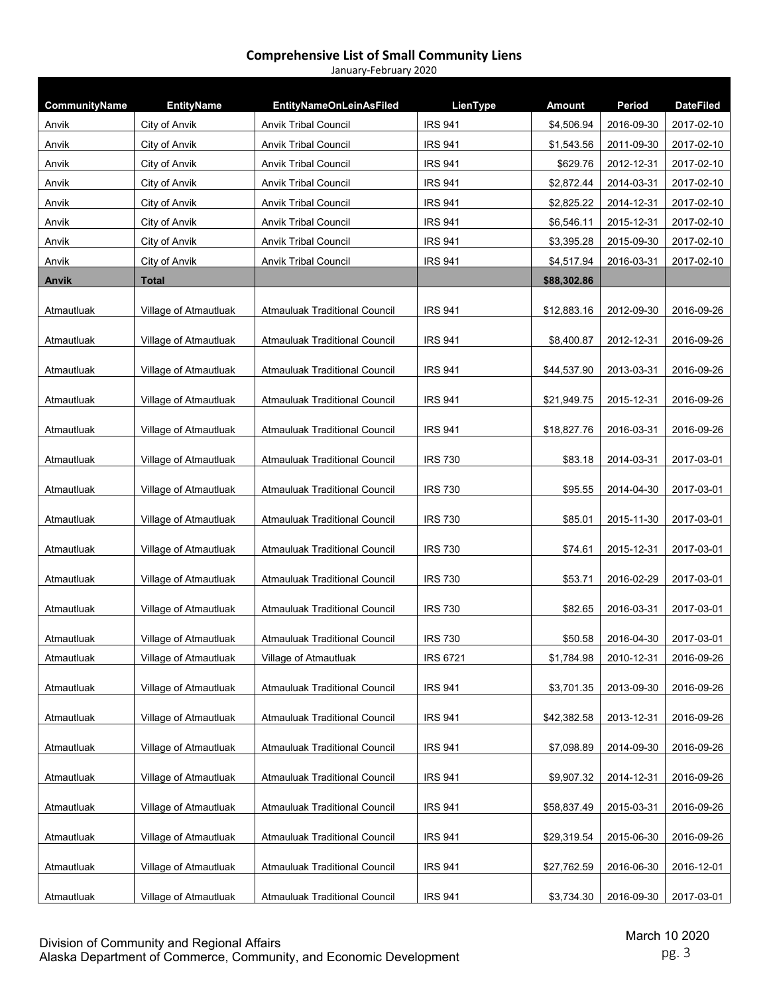| CommunityName | <b>EntityName</b>     | <b>EntityNameOnLeinAsFiled</b>       | LienType        | <b>Amount</b> | Period     | <b>DateFiled</b> |
|---------------|-----------------------|--------------------------------------|-----------------|---------------|------------|------------------|
| Anvik         | City of Anvik         | <b>Anvik Tribal Council</b>          | <b>IRS 941</b>  | \$4,506.94    | 2016-09-30 | 2017-02-10       |
| Anvik         | City of Anvik         | <b>Anvik Tribal Council</b>          | <b>IRS 941</b>  | \$1,543.56    | 2011-09-30 | 2017-02-10       |
| Anvik         | City of Anvik         | <b>Anvik Tribal Council</b>          | <b>IRS 941</b>  | \$629.76      | 2012-12-31 | 2017-02-10       |
| Anvik         | City of Anvik         | <b>Anvik Tribal Council</b>          | <b>IRS 941</b>  | \$2,872.44    | 2014-03-31 | 2017-02-10       |
| Anvik         | City of Anvik         | <b>Anvik Tribal Council</b>          | <b>IRS 941</b>  | \$2,825.22    | 2014-12-31 | 2017-02-10       |
| Anvik         | City of Anvik         | <b>Anvik Tribal Council</b>          | <b>IRS 941</b>  | \$6,546.11    | 2015-12-31 | 2017-02-10       |
| Anvik         | City of Anvik         | <b>Anvik Tribal Council</b>          | <b>IRS 941</b>  | \$3,395.28    | 2015-09-30 | 2017-02-10       |
| Anvik         | City of Anvik         | <b>Anvik Tribal Council</b>          | <b>IRS 941</b>  | \$4,517.94    | 2016-03-31 | 2017-02-10       |
| Anvik         | <b>Total</b>          |                                      |                 | \$88,302.86   |            |                  |
| Atmautluak    | Village of Atmautluak | Atmauluak Traditional Council        | <b>IRS 941</b>  | \$12,883.16   | 2012-09-30 | 2016-09-26       |
| Atmautluak    | Village of Atmautluak | <b>Atmauluak Traditional Council</b> | <b>IRS 941</b>  | \$8,400.87    | 2012-12-31 | 2016-09-26       |
| Atmautluak    | Village of Atmautluak | <b>Atmauluak Traditional Council</b> | <b>IRS 941</b>  | \$44,537.90   | 2013-03-31 | 2016-09-26       |
| Atmautluak    | Village of Atmautluak | Atmauluak Traditional Council        | <b>IRS 941</b>  | \$21,949.75   | 2015-12-31 | 2016-09-26       |
| Atmautluak    | Village of Atmautluak | Atmauluak Traditional Council        | <b>IRS 941</b>  | \$18,827.76   | 2016-03-31 | 2016-09-26       |
| Atmautluak    | Village of Atmautluak | Atmauluak Traditional Council        | <b>IRS 730</b>  | \$83.18       | 2014-03-31 | 2017-03-01       |
| Atmautluak    | Village of Atmautluak | <b>Atmauluak Traditional Council</b> | <b>IRS 730</b>  | \$95.55       | 2014-04-30 | 2017-03-01       |
| Atmautluak    | Village of Atmautluak | <b>Atmauluak Traditional Council</b> | <b>IRS 730</b>  | \$85.01       | 2015-11-30 | 2017-03-01       |
| Atmautluak    | Village of Atmautluak | <b>Atmauluak Traditional Council</b> | <b>IRS 730</b>  | \$74.61       | 2015-12-31 | 2017-03-01       |
| Atmautluak    | Village of Atmautluak | <b>Atmauluak Traditional Council</b> | <b>IRS 730</b>  | \$53.71       | 2016-02-29 | 2017-03-01       |
| Atmautluak    | Village of Atmautluak | Atmauluak Traditional Council        | <b>IRS 730</b>  | \$82.65       | 2016-03-31 | 2017-03-01       |
| Atmautluak    | Village of Atmautluak | <b>Atmauluak Traditional Council</b> | <b>IRS 730</b>  | \$50.58       | 2016-04-30 | 2017-03-01       |
| Atmautluak    | Village of Atmautluak | Village of Atmautluak                | <b>IRS 6721</b> | \$1,784.98    | 2010-12-31 | 2016-09-26       |
| Atmautluak    | Village of Atmautluak | Atmauluak Traditional Council        | <b>IRS 941</b>  | \$3,701.35    | 2013-09-30 | 2016-09-26       |
| Atmautluak    | Village of Atmautluak | <b>Atmauluak Traditional Council</b> | <b>IRS 941</b>  | \$42,382.58   | 2013-12-31 | 2016-09-26       |
| Atmautluak    | Village of Atmautluak | Atmauluak Traditional Council        | <b>IRS 941</b>  | \$7,098.89    | 2014-09-30 | 2016-09-26       |
| Atmautluak    | Village of Atmautluak | <b>Atmauluak Traditional Council</b> | <b>IRS 941</b>  | \$9,907.32    | 2014-12-31 | 2016-09-26       |
| Atmautluak    | Village of Atmautluak | <b>Atmauluak Traditional Council</b> | <b>IRS 941</b>  | \$58,837.49   | 2015-03-31 | 2016-09-26       |
| Atmautluak    | Village of Atmautluak | <b>Atmauluak Traditional Council</b> | <b>IRS 941</b>  | \$29,319.54   | 2015-06-30 | 2016-09-26       |
| Atmautluak    | Village of Atmautluak | <b>Atmauluak Traditional Council</b> | <b>IRS 941</b>  | \$27,762.59   | 2016-06-30 | 2016-12-01       |
| Atmautluak    | Village of Atmautluak | Atmauluak Traditional Council        | <b>IRS 941</b>  | \$3,734.30    | 2016-09-30 | 2017-03-01       |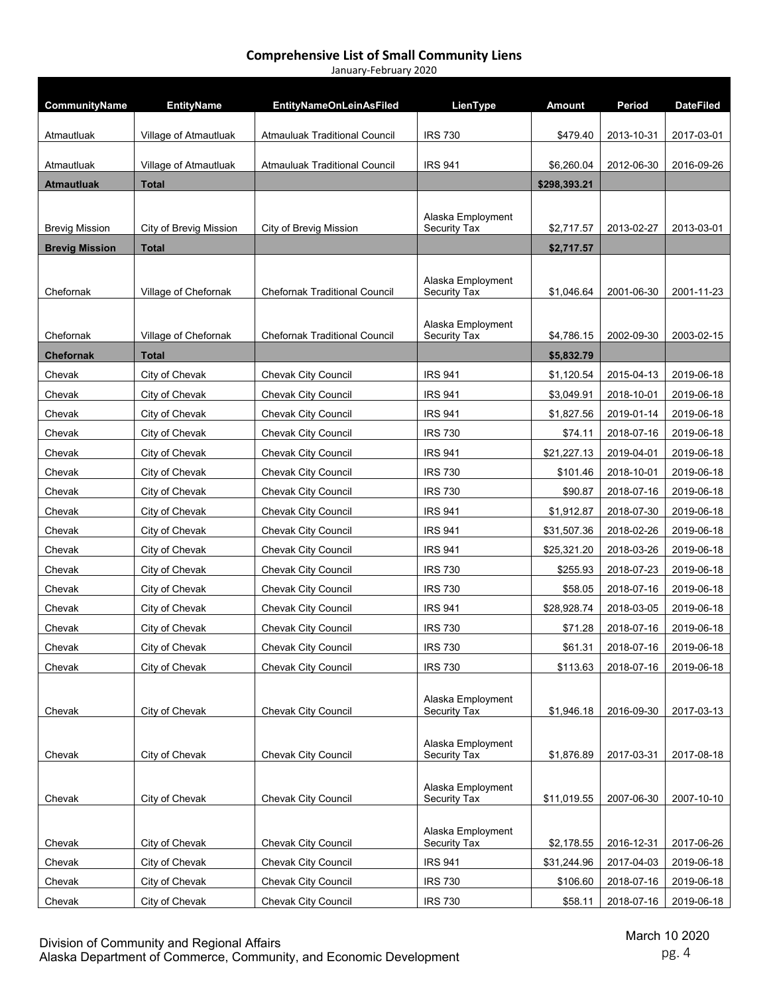| January-February 2020 |  |
|-----------------------|--|
|-----------------------|--|

| CommunityName         | <b>EntityName</b>      | <b>EntityNameOnLeinAsFiled</b>       | LienType                          | Amount       | Period     | <b>DateFiled</b> |
|-----------------------|------------------------|--------------------------------------|-----------------------------------|--------------|------------|------------------|
| Atmautluak            | Village of Atmautluak  | <b>Atmauluak Traditional Council</b> | <b>IRS 730</b>                    | \$479.40     | 2013-10-31 | 2017-03-01       |
|                       |                        |                                      |                                   |              |            |                  |
| Atmautluak            | Village of Atmautluak  | <b>Atmauluak Traditional Council</b> | <b>IRS 941</b>                    | \$6,260.04   | 2012-06-30 | 2016-09-26       |
| <b>Atmautluak</b>     | Total                  |                                      |                                   | \$298,393.21 |            |                  |
|                       |                        |                                      | Alaska Employment                 |              |            |                  |
| <b>Brevig Mission</b> | City of Brevig Mission | City of Brevig Mission               | Security Tax                      | \$2,717.57   | 2013-02-27 | 2013-03-01       |
| <b>Brevig Mission</b> | Total                  |                                      |                                   | \$2,717.57   |            |                  |
|                       |                        |                                      |                                   |              |            |                  |
| Chefornak             | Village of Chefornak   | <b>Chefornak Traditional Council</b> | Alaska Employment<br>Security Tax | \$1,046.64   | 2001-06-30 | 2001-11-23       |
|                       |                        |                                      |                                   |              |            |                  |
| Chefornak             | Village of Chefornak   | <b>Chefornak Traditional Council</b> | Alaska Employment<br>Security Tax | \$4,786.15   | 2002-09-30 | 2003-02-15       |
| <b>Chefornak</b>      | Total                  |                                      |                                   | \$5,832.79   |            |                  |
| Chevak                | City of Chevak         | Chevak City Council                  | <b>IRS 941</b>                    | \$1,120.54   | 2015-04-13 | 2019-06-18       |
| Chevak                | City of Chevak         | <b>Chevak City Council</b>           | <b>IRS 941</b>                    | \$3,049.91   | 2018-10-01 | 2019-06-18       |
| Chevak                | City of Chevak         | Chevak City Council                  | <b>IRS 941</b>                    | \$1,827.56   | 2019-01-14 | 2019-06-18       |
| Chevak                | City of Chevak         | <b>Chevak City Council</b>           | <b>IRS 730</b>                    | \$74.11      | 2018-07-16 | 2019-06-18       |
| Chevak                | City of Chevak         | Chevak City Council                  | <b>IRS 941</b>                    | \$21,227.13  | 2019-04-01 | 2019-06-18       |
| Chevak                | City of Chevak         | Chevak City Council                  | <b>IRS 730</b>                    | \$101.46     | 2018-10-01 | 2019-06-18       |
| Chevak                | City of Chevak         | Chevak City Council                  | <b>IRS 730</b>                    | \$90.87      | 2018-07-16 | 2019-06-18       |
| Chevak                | City of Chevak         | Chevak City Council                  | <b>IRS 941</b>                    | \$1,912.87   | 2018-07-30 | 2019-06-18       |
| Chevak                | City of Chevak         | <b>Chevak City Council</b>           | <b>IRS 941</b>                    | \$31,507.36  | 2018-02-26 | 2019-06-18       |
| Chevak                | City of Chevak         | Chevak City Council                  | <b>IRS 941</b>                    | \$25,321.20  | 2018-03-26 | 2019-06-18       |
| Chevak                | City of Chevak         | Chevak City Council                  | <b>IRS 730</b>                    | \$255.93     | 2018-07-23 | 2019-06-18       |
| Chevak                | City of Chevak         | Chevak City Council                  | <b>IRS 730</b>                    | \$58.05      | 2018-07-16 | 2019-06-18       |
| Chevak                | City of Chevak         | Chevak City Council                  | <b>IRS 941</b>                    | \$28,928.74  | 2018-03-05 | 2019-06-18       |
| Chevak                | City of Chevak         | Chevak City Council                  | <b>IRS 730</b>                    | \$71.28      | 2018-07-16 | 2019-06-18       |
| Chevak                | City of Chevak         | Chevak City Council                  | <b>IRS 730</b>                    | \$61.31      | 2018-07-16 | 2019-06-18       |
| Chevak                | City of Chevak         | Chevak City Council                  | <b>IRS 730</b>                    | \$113.63     | 2018-07-16 | 2019-06-18       |
|                       |                        |                                      |                                   |              |            |                  |
| Chevak                | City of Chevak         | Chevak City Council                  | Alaska Employment<br>Security Tax | \$1,946.18   | 2016-09-30 | 2017-03-13       |
|                       |                        |                                      |                                   |              |            |                  |
|                       |                        |                                      | Alaska Employment                 |              |            |                  |
| Chevak                | City of Chevak         | Chevak City Council                  | Security Tax                      | \$1,876.89   | 2017-03-31 | 2017-08-18       |
|                       |                        |                                      | Alaska Employment                 |              |            |                  |
| Chevak                | City of Chevak         | <b>Chevak City Council</b>           | Security Tax                      | \$11,019.55  | 2007-06-30 | 2007-10-10       |
|                       |                        |                                      |                                   |              |            |                  |
| Chevak                | City of Chevak         | <b>Chevak City Council</b>           | Alaska Employment<br>Security Tax | \$2,178.55   | 2016-12-31 | 2017-06-26       |
| Chevak                | City of Chevak         | <b>Chevak City Council</b>           | <b>IRS 941</b>                    | \$31,244.96  | 2017-04-03 | 2019-06-18       |
| Chevak                | City of Chevak         | <b>Chevak City Council</b>           | <b>IRS 730</b>                    | \$106.60     | 2018-07-16 | 2019-06-18       |
| Chevak                | City of Chevak         | Chevak City Council                  | <b>IRS 730</b>                    | \$58.11      | 2018-07-16 | 2019-06-18       |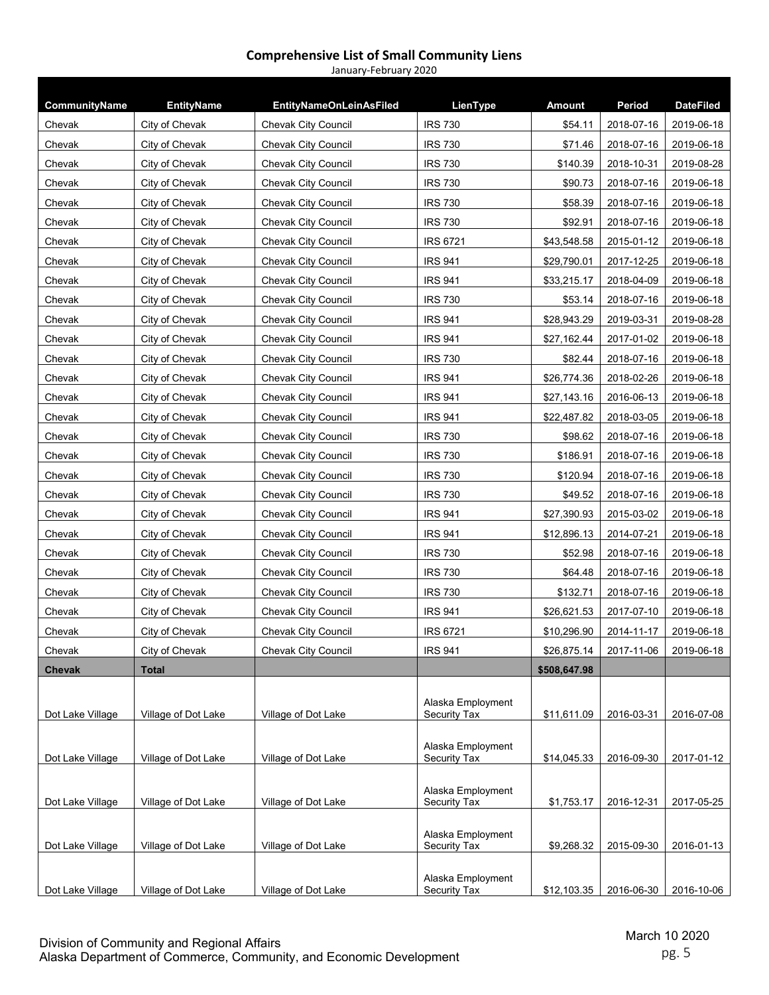| CommunityName    | <b>EntityName</b>   | <b>EntityNameOnLeinAsFiled</b> | LienType                          | <b>Amount</b> | Period     | <b>DateFiled</b> |
|------------------|---------------------|--------------------------------|-----------------------------------|---------------|------------|------------------|
| Chevak           | City of Chevak      | <b>Chevak City Council</b>     | <b>IRS 730</b>                    | \$54.11       | 2018-07-16 | 2019-06-18       |
| Chevak           | City of Chevak      | <b>Chevak City Council</b>     | <b>IRS 730</b>                    | \$71.46       | 2018-07-16 | 2019-06-18       |
| Chevak           | City of Chevak      | <b>Chevak City Council</b>     | <b>IRS 730</b>                    | \$140.39      | 2018-10-31 | 2019-08-28       |
| Chevak           | City of Chevak      | <b>Chevak City Council</b>     | <b>IRS 730</b>                    | \$90.73       | 2018-07-16 | 2019-06-18       |
| Chevak           | City of Chevak      | <b>Chevak City Council</b>     | <b>IRS 730</b>                    | \$58.39       | 2018-07-16 | 2019-06-18       |
| Chevak           | City of Chevak      | <b>Chevak City Council</b>     | <b>IRS 730</b>                    | \$92.91       | 2018-07-16 | 2019-06-18       |
| Chevak           | City of Chevak      | <b>Chevak City Council</b>     | <b>IRS 6721</b>                   | \$43,548.58   | 2015-01-12 | 2019-06-18       |
| Chevak           | City of Chevak      | Chevak City Council            | <b>IRS 941</b>                    | \$29,790.01   | 2017-12-25 | 2019-06-18       |
| Chevak           | City of Chevak      | <b>Chevak City Council</b>     | <b>IRS 941</b>                    | \$33,215.17   | 2018-04-09 | 2019-06-18       |
| Chevak           | City of Chevak      | <b>Chevak City Council</b>     | <b>IRS 730</b>                    | \$53.14       | 2018-07-16 | 2019-06-18       |
| Chevak           | City of Chevak      | Chevak City Council            | <b>IRS 941</b>                    | \$28,943.29   | 2019-03-31 | 2019-08-28       |
| Chevak           | City of Chevak      | <b>Chevak City Council</b>     | <b>IRS 941</b>                    | \$27,162.44   | 2017-01-02 | 2019-06-18       |
| Chevak           | City of Chevak      | <b>Chevak City Council</b>     | <b>IRS 730</b>                    | \$82.44       | 2018-07-16 | 2019-06-18       |
| Chevak           | City of Chevak      | <b>Chevak City Council</b>     | <b>IRS 941</b>                    | \$26,774.36   | 2018-02-26 | 2019-06-18       |
| Chevak           | City of Chevak      | <b>Chevak City Council</b>     | <b>IRS 941</b>                    | \$27,143.16   | 2016-06-13 | 2019-06-18       |
| Chevak           | City of Chevak      | Chevak City Council            | <b>IRS 941</b>                    | \$22,487.82   | 2018-03-05 | 2019-06-18       |
| Chevak           | City of Chevak      | <b>Chevak City Council</b>     | <b>IRS 730</b>                    | \$98.62       | 2018-07-16 | 2019-06-18       |
| Chevak           | City of Chevak      | <b>Chevak City Council</b>     | <b>IRS 730</b>                    | \$186.91      | 2018-07-16 | 2019-06-18       |
| Chevak           | City of Chevak      | <b>Chevak City Council</b>     | <b>IRS 730</b>                    | \$120.94      | 2018-07-16 | 2019-06-18       |
| Chevak           | City of Chevak      | <b>Chevak City Council</b>     | <b>IRS 730</b>                    | \$49.52       | 2018-07-16 | 2019-06-18       |
| Chevak           | City of Chevak      | <b>Chevak City Council</b>     | <b>IRS 941</b>                    | \$27,390.93   | 2015-03-02 | 2019-06-18       |
| Chevak           | City of Chevak      | <b>Chevak City Council</b>     | <b>IRS 941</b>                    | \$12,896.13   | 2014-07-21 | 2019-06-18       |
| Chevak           | City of Chevak      | <b>Chevak City Council</b>     | <b>IRS 730</b>                    | \$52.98       | 2018-07-16 | 2019-06-18       |
| Chevak           | City of Chevak      | <b>Chevak City Council</b>     | <b>IRS 730</b>                    | \$64.48       | 2018-07-16 | 2019-06-18       |
| Chevak           | City of Chevak      | <b>Chevak City Council</b>     | <b>IRS 730</b>                    | \$132.71      | 2018-07-16 | 2019-06-18       |
| Chevak           | City of Chevak      | <b>Chevak City Council</b>     | <b>IRS 941</b>                    | \$26,621.53   | 2017-07-10 | 2019-06-18       |
| Chevak           | City of Chevak      | <b>Chevak City Council</b>     | <b>IRS 6721</b>                   | \$10,296.90   | 2014-11-17 | 2019-06-18       |
| Chevak           | City of Chevak      | Chevak City Council            | <b>IRS 941</b>                    | \$26,875.14   | 2017-11-06 | 2019-06-18       |
| <b>Chevak</b>    | <b>Total</b>        |                                |                                   | \$508,647.98  |            |                  |
| Dot Lake Village | Village of Dot Lake | Village of Dot Lake            | Alaska Employment<br>Security Tax | \$11,611.09   | 2016-03-31 | 2016-07-08       |
| Dot Lake Village | Village of Dot Lake | Village of Dot Lake            | Alaska Employment<br>Security Tax | \$14,045.33   | 2016-09-30 | 2017-01-12       |
| Dot Lake Village | Village of Dot Lake | Village of Dot Lake            | Alaska Employment<br>Security Tax | \$1,753.17    | 2016-12-31 | 2017-05-25       |
| Dot Lake Village | Village of Dot Lake | Village of Dot Lake            | Alaska Employment<br>Security Tax | \$9,268.32    | 2015-09-30 | 2016-01-13       |
| Dot Lake Village | Village of Dot Lake | Village of Dot Lake            | Alaska Employment<br>Security Tax | \$12,103.35   | 2016-06-30 | 2016-10-06       |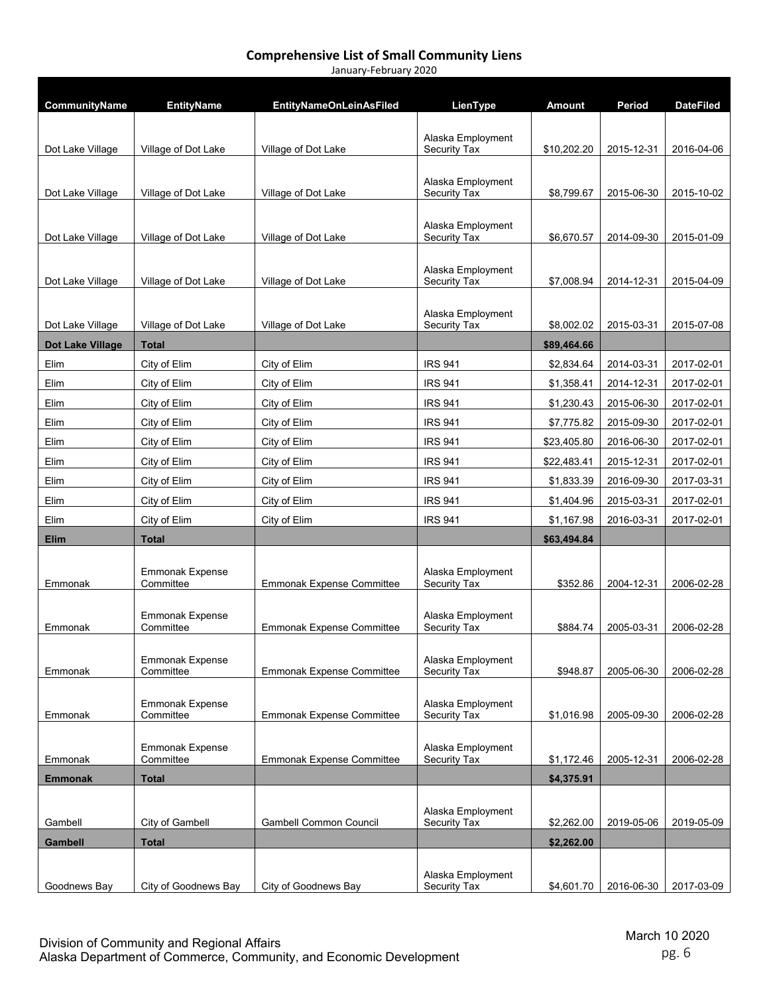| January-February 2020 |                                     |                                  |                                   |               |            |                  |
|-----------------------|-------------------------------------|----------------------------------|-----------------------------------|---------------|------------|------------------|
|                       |                                     |                                  |                                   |               |            |                  |
| CommunityName         | <b>EntityName</b>                   | <b>EntityNameOnLeinAsFiled</b>   | LienType                          | <b>Amount</b> | Period     | <b>DateFiled</b> |
|                       |                                     |                                  |                                   |               |            |                  |
| Dot Lake Village      | Village of Dot Lake                 | Village of Dot Lake              | Alaska Employment<br>Security Tax | \$10,202.20   | 2015-12-31 | 2016-04-06       |
|                       |                                     |                                  |                                   |               |            |                  |
|                       |                                     |                                  | Alaska Employment                 |               |            |                  |
| Dot Lake Village      | Village of Dot Lake                 | Village of Dot Lake              | Security Tax                      | \$8,799.67    | 2015-06-30 | 2015-10-02       |
|                       |                                     |                                  |                                   |               |            |                  |
| Dot Lake Village      | Village of Dot Lake                 | Village of Dot Lake              | Alaska Employment<br>Security Tax | \$6,670.57    | 2014-09-30 | 2015-01-09       |
|                       |                                     |                                  |                                   |               |            |                  |
|                       |                                     |                                  | Alaska Employment                 |               |            |                  |
| Dot Lake Village      | Village of Dot Lake                 | Village of Dot Lake              | Security Tax                      | \$7,008.94    | 2014-12-31 | 2015-04-09       |
|                       |                                     |                                  | Alaska Employment                 |               |            |                  |
| Dot Lake Village      | Village of Dot Lake                 | Village of Dot Lake              | Security Tax                      | \$8,002.02    | 2015-03-31 | 2015-07-08       |
| Dot Lake Village      | Total                               |                                  |                                   | \$89,464.66   |            |                  |
| Elim                  | City of Elim                        | City of Elim                     | <b>IRS 941</b>                    | \$2,834.64    | 2014-03-31 | 2017-02-01       |
| Elim                  | City of Elim                        | City of Elim                     | <b>IRS 941</b>                    | \$1,358.41    | 2014-12-31 | 2017-02-01       |
| Elim                  | City of Elim                        | City of Elim                     | <b>IRS 941</b>                    | \$1,230.43    | 2015-06-30 | 2017-02-01       |
| Elim                  | City of Elim                        | City of Elim                     | <b>IRS 941</b>                    | \$7,775.82    | 2015-09-30 | 2017-02-01       |
| Elim                  | City of Elim                        | City of Elim                     | <b>IRS 941</b>                    | \$23,405.80   | 2016-06-30 | 2017-02-01       |
| Elim                  | City of Elim                        | City of Elim                     | <b>IRS 941</b>                    | \$22,483.41   | 2015-12-31 | 2017-02-01       |
| Elim                  | City of Elim                        | City of Elim                     | <b>IRS 941</b>                    | \$1,833.39    | 2016-09-30 | 2017-03-31       |
| Elim                  | City of Elim                        | City of Elim                     | <b>IRS 941</b>                    | \$1,404.96    | 2015-03-31 | 2017-02-01       |
| Elim                  | City of Elim                        | City of Elim                     | <b>IRS 941</b>                    | \$1,167.98    | 2016-03-31 | 2017-02-01       |
| <b>Elim</b>           | <b>Total</b>                        |                                  |                                   | \$63,494.84   |            |                  |
|                       |                                     |                                  |                                   |               |            |                  |
|                       | <b>Emmonak Expense</b>              |                                  | Alaska Employment                 |               |            |                  |
| Emmonak               | Committee                           | <b>Emmonak Expense Committee</b> | Security Tax                      | \$352.86      | 2004-12-31 | 2006-02-28       |
|                       | <b>Emmonak Expense</b>              |                                  | Alaska Employment                 |               |            |                  |
| Emmonak               | Committee                           | <b>Emmonak Expense Committee</b> | Security Tax                      | \$884.74      | 2005-03-31 | 2006-02-28       |
|                       |                                     |                                  |                                   |               |            |                  |
| Emmonak               | <b>Emmonak Expense</b><br>Committee | <b>Emmonak Expense Committee</b> | Alaska Employment<br>Security Tax | \$948.87      | 2005-06-30 | 2006-02-28       |
|                       |                                     |                                  |                                   |               |            |                  |
|                       | <b>Emmonak Expense</b>              |                                  | Alaska Employment                 |               |            |                  |
| Emmonak               | Committee                           | <b>Emmonak Expense Committee</b> | Security Tax                      | \$1,016.98    | 2005-09-30 | 2006-02-28       |
|                       |                                     |                                  |                                   |               |            |                  |
| Emmonak               | <b>Emmonak Expense</b><br>Committee | <b>Emmonak Expense Committee</b> | Alaska Employment<br>Security Tax | \$1,172.46    | 2005-12-31 | 2006-02-28       |
| <b>Emmonak</b>        | <b>Total</b>                        |                                  |                                   | \$4,375.91    |            |                  |
|                       |                                     |                                  |                                   |               |            |                  |
|                       |                                     |                                  | Alaska Employment                 |               |            |                  |
| Gambell               | City of Gambell                     | <b>Gambell Common Council</b>    | Security Tax                      | \$2,262.00    | 2019-05-06 | 2019-05-09       |
| Gambell               | <b>Total</b>                        |                                  |                                   | \$2,262.00    |            |                  |
|                       |                                     |                                  | Alaska Employment                 |               |            |                  |
| Goodnews Bay          | City of Goodnews Bay                | City of Goodnews Bay             | Security Tax                      | \$4,601.70    | 2016-06-30 | 2017-03-09       |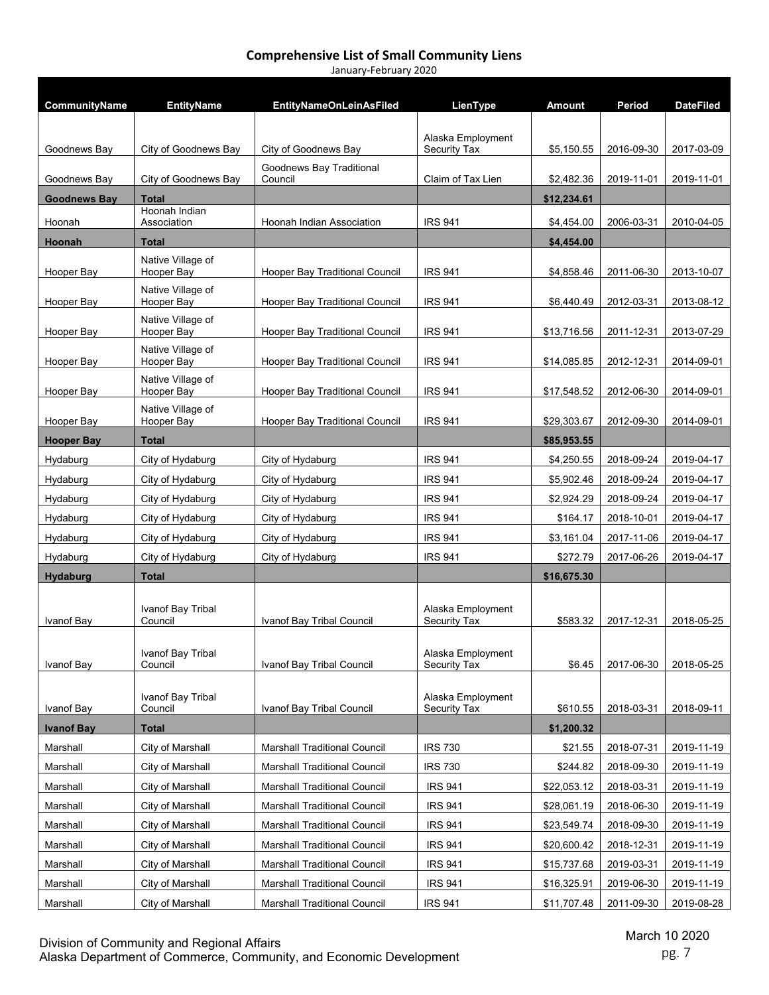| CommunityName       | <b>EntityName</b>               | <b>EntityNameOnLeinAsFiled</b>      | LienType                                 | <b>Amount</b> | Period     | <b>DateFiled</b> |
|---------------------|---------------------------------|-------------------------------------|------------------------------------------|---------------|------------|------------------|
|                     |                                 |                                     |                                          |               |            |                  |
| Goodnews Bav        | City of Goodnews Bay            | City of Goodnews Bay                | Alaska Employment<br>Security Tax        | \$5.150.55    | 2016-09-30 | 2017-03-09       |
| Goodnews Bay        | City of Goodnews Bay            | Goodnews Bay Traditional<br>Council | Claim of Tax Lien                        | \$2,482.36    | 2019-11-01 | 2019-11-01       |
| <b>Goodnews Bay</b> | <b>Total</b>                    |                                     |                                          | \$12,234.61   |            |                  |
| Hoonah              | Hoonah Indian<br>Association    | Hoonah Indian Association           | <b>IRS 941</b>                           | \$4,454.00    | 2006-03-31 | 2010-04-05       |
| Hoonah              | <b>Total</b>                    |                                     |                                          | \$4,454.00    |            |                  |
| Hooper Bay          | Native Village of<br>Hooper Bay | Hooper Bay Traditional Council      | <b>IRS 941</b>                           | \$4,858.46    | 2011-06-30 | 2013-10-07       |
| Hooper Bay          | Native Village of<br>Hooper Bay | Hooper Bay Traditional Council      | <b>IRS 941</b>                           | \$6,440.49    | 2012-03-31 | 2013-08-12       |
| Hooper Bay          | Native Village of<br>Hooper Bay | Hooper Bay Traditional Council      | <b>IRS 941</b>                           | \$13,716.56   | 2011-12-31 | 2013-07-29       |
|                     | Native Village of               | Hooper Bay Traditional Council      |                                          |               |            |                  |
| Hooper Bay          | Hooper Bay<br>Native Village of |                                     | <b>IRS 941</b>                           | \$14,085.85   | 2012-12-31 | 2014-09-01       |
| Hooper Bay          | Hooper Bay                      | Hooper Bay Traditional Council      | <b>IRS 941</b>                           | \$17,548.52   | 2012-06-30 | 2014-09-01       |
| Hooper Bay          | Native Village of<br>Hooper Bay | Hooper Bay Traditional Council      | <b>IRS 941</b>                           | \$29,303.67   | 2012-09-30 | 2014-09-01       |
| <b>Hooper Bay</b>   | <b>Total</b>                    |                                     |                                          | \$85,953.55   |            |                  |
| Hydaburg            | City of Hydaburg                | City of Hydaburg                    | <b>IRS 941</b>                           | \$4,250.55    | 2018-09-24 | 2019-04-17       |
| Hydaburg            | City of Hydaburg                | City of Hydaburg                    | <b>IRS 941</b>                           | \$5,902.46    | 2018-09-24 | 2019-04-17       |
| Hydaburg            | City of Hydaburg                | City of Hydaburg                    | <b>IRS 941</b>                           | \$2,924.29    | 2018-09-24 | 2019-04-17       |
| Hydaburg            | City of Hydaburg                | City of Hydaburg                    | <b>IRS 941</b>                           | \$164.17      | 2018-10-01 | 2019-04-17       |
| Hydaburg            | City of Hydaburg                | City of Hydaburg                    | <b>IRS 941</b>                           | \$3,161.04    | 2017-11-06 | 2019-04-17       |
| Hydaburg            | City of Hydaburg                | City of Hydaburg                    | <b>IRS 941</b>                           | \$272.79      | 2017-06-26 | 2019-04-17       |
| <b>Hydaburg</b>     | <b>Total</b>                    |                                     |                                          | \$16,675.30   |            |                  |
| Ivanof Bay          | Ivanof Bay Tribal<br>Council    | Ivanof Bay Tribal Council           | Alaska Employment<br>Security Tax        | \$583.32      | 2017-12-31 | 2018-05-25       |
| Ivanof Bay          | Ivanof Bay Tribal<br>Council    | Ivanof Bay Tribal Council           | Alaska Employment<br>Security Tax        | \$6.45        | 2017-06-30 | 2018-05-25       |
| Ivanof Bay          | Ivanof Bay Tribal<br>Council    | Ivanof Bay Tribal Council           | Alaska Employment<br><b>Security Tax</b> | \$610.55      | 2018-03-31 | 2018-09-11       |
| <b>Ivanof Bay</b>   | <b>Total</b>                    |                                     |                                          | \$1,200.32    |            |                  |
| Marshall            | City of Marshall                | Marshall Traditional Council        | <b>IRS 730</b>                           | \$21.55       | 2018-07-31 | 2019-11-19       |
| Marshall            | City of Marshall                | <b>Marshall Traditional Council</b> | <b>IRS 730</b>                           | \$244.82      | 2018-09-30 | 2019-11-19       |
| Marshall            | City of Marshall                | Marshall Traditional Council        | <b>IRS 941</b>                           | \$22,053.12   | 2018-03-31 | 2019-11-19       |
| Marshall            | City of Marshall                | <b>Marshall Traditional Council</b> | <b>IRS 941</b>                           | \$28,061.19   | 2018-06-30 | 2019-11-19       |
| Marshall            | City of Marshall                | <b>Marshall Traditional Council</b> | <b>IRS 941</b>                           | \$23,549.74   | 2018-09-30 | 2019-11-19       |
| Marshall            | City of Marshall                | <b>Marshall Traditional Council</b> | <b>IRS 941</b>                           | \$20,600.42   | 2018-12-31 | 2019-11-19       |
| Marshall            | City of Marshall                | Marshall Traditional Council        | <b>IRS 941</b>                           | \$15,737.68   | 2019-03-31 | 2019-11-19       |
| Marshall            | City of Marshall                | Marshall Traditional Council        | <b>IRS 941</b>                           | \$16,325.91   | 2019-06-30 | 2019-11-19       |
| Marshall            | City of Marshall                | <b>Marshall Traditional Council</b> | <b>IRS 941</b>                           | \$11,707.48   | 2011-09-30 | 2019-08-28       |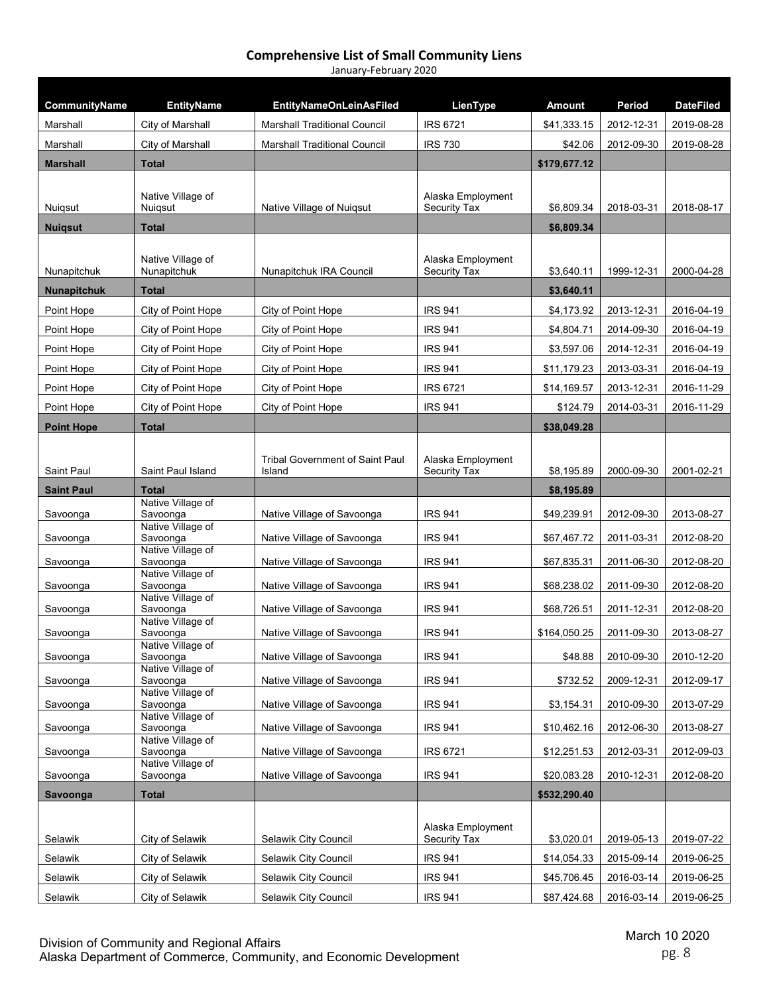| CommunityName             | <b>EntityName</b>             | <b>EntityNameOnLeinAsFiled</b>         | LienType                                 | <b>Amount</b> | Period     | <b>DateFiled</b> |
|---------------------------|-------------------------------|----------------------------------------|------------------------------------------|---------------|------------|------------------|
| Marshall                  | City of Marshall              | <b>Marshall Traditional Council</b>    | <b>IRS 6721</b>                          | \$41,333.15   | 2012-12-31 | 2019-08-28       |
| Marshall                  | City of Marshall              | <b>Marshall Traditional Council</b>    | <b>IRS 730</b>                           | \$42.06       | 2012-09-30 | 2019-08-28       |
| <b>Marshall</b>           | <b>Total</b>                  |                                        |                                          | \$179,677.12  |            |                  |
|                           |                               |                                        |                                          |               |            |                  |
|                           | Native Village of             | Native Village of Nuigsut              | Alaska Employment<br>Security Tax        | \$6,809.34    | 2018-03-31 | 2018-08-17       |
| Nuiqsut<br><b>Nuiqsut</b> | Nuigsut<br><b>Total</b>       |                                        |                                          | \$6,809.34    |            |                  |
|                           |                               |                                        |                                          |               |            |                  |
|                           | Native Village of             |                                        | Alaska Employment                        |               |            |                  |
| Nunapitchuk               | Nunapitchuk                   | Nunapitchuk IRA Council                | Security Tax                             | \$3,640.11    | 1999-12-31 | 2000-04-28       |
| <b>Nunapitchuk</b>        | <b>Total</b>                  |                                        |                                          | \$3,640.11    |            |                  |
| Point Hope                | City of Point Hope            | City of Point Hope                     | <b>IRS 941</b>                           | \$4,173.92    | 2013-12-31 | 2016-04-19       |
| Point Hope                | City of Point Hope            | City of Point Hope                     | <b>IRS 941</b>                           | \$4,804.71    | 2014-09-30 | 2016-04-19       |
| Point Hope                | City of Point Hope            | City of Point Hope                     | <b>IRS 941</b>                           | \$3,597.06    | 2014-12-31 | 2016-04-19       |
| Point Hope                | City of Point Hope            | City of Point Hope                     | <b>IRS 941</b>                           | \$11,179.23   | 2013-03-31 | 2016-04-19       |
| Point Hope                | City of Point Hope            | City of Point Hope                     | <b>IRS 6721</b>                          | \$14,169.57   | 2013-12-31 | 2016-11-29       |
| Point Hope                | City of Point Hope            | City of Point Hope                     | <b>IRS 941</b>                           | \$124.79      | 2014-03-31 | 2016-11-29       |
| <b>Point Hope</b>         | <b>Total</b>                  |                                        |                                          | \$38,049.28   |            |                  |
| Saint Paul                | Saint Paul Island             | <b>Tribal Government of Saint Paul</b> | Alaska Employment<br><b>Security Tax</b> | \$8,195.89    | 2000-09-30 | 2001-02-21       |
| <b>Saint Paul</b>         | <b>Total</b>                  | Island                                 |                                          | \$8,195.89    |            |                  |
|                           | Native Village of             |                                        |                                          |               |            |                  |
| Savoonga                  | Savoonga<br>Native Village of | Native Village of Savoonga             | <b>IRS 941</b>                           | \$49,239.91   | 2012-09-30 | 2013-08-27       |
| Savoonga                  | Savoonga<br>Native Village of | Native Village of Savoonga             | <b>IRS 941</b>                           | \$67,467.72   | 2011-03-31 | 2012-08-20       |
| Savoonga                  | Savoonga                      | Native Village of Savoonga             | <b>IRS 941</b>                           | \$67,835.31   | 2011-06-30 | 2012-08-20       |
| Savoonga                  | Native Village of<br>Savoonga | Native Village of Savoonga             | <b>IRS 941</b>                           | \$68,238.02   | 2011-09-30 | 2012-08-20       |
|                           | Native Village of<br>Savoonga |                                        | <b>IRS 941</b>                           | \$68,726.51   | 2011-12-31 | 2012-08-20       |
| Savoonga                  | Native Village of             | Native Village of Savoonga             |                                          |               |            |                  |
| Savoonga                  | Savoonga<br>Native Village of | Native Village of Savoonga             | <b>IRS 941</b>                           | \$164,050.25  | 2011-09-30 | 2013-08-27       |
| Savoonga                  | Savoonga<br>Native Village of | Native Village of Savoonga             | <b>IRS 941</b>                           | \$48.88       | 2010-09-30 | 2010-12-20       |
| Savoonga                  | Savoonga                      | Native Village of Savoonga             | <b>IRS 941</b>                           | \$732.52      | 2009-12-31 | 2012-09-17       |
| Savoonga                  | Native Village of<br>Savoonga | Native Village of Savoonga             | <b>IRS 941</b>                           | \$3,154.31    | 2010-09-30 | 2013-07-29       |
|                           | Native Village of             | Native Village of Savoonga             | <b>IRS 941</b>                           | \$10,462.16   | 2012-06-30 |                  |
| Savoonga                  | Savoonga<br>Native Village of |                                        |                                          |               |            | 2013-08-27       |
| Savoonga                  | Savoonga<br>Native Village of | Native Village of Savoonga             | <b>IRS 6721</b>                          | \$12,251.53   | 2012-03-31 | 2012-09-03       |
| Savoonga                  | Savoonga                      | Native Village of Savoonga             | <b>IRS 941</b>                           | \$20,083.28   | 2010-12-31 | 2012-08-20       |
| Savoonga                  | <b>Total</b>                  |                                        |                                          | \$532,290.40  |            |                  |
|                           |                               |                                        |                                          |               |            |                  |
| Selawik                   | City of Selawik               | Selawik City Council                   | Alaska Employment<br>Security Tax        | \$3,020.01    | 2019-05-13 | 2019-07-22       |
| Selawik                   | City of Selawik               | Selawik City Council                   | <b>IRS 941</b>                           | \$14,054.33   | 2015-09-14 | 2019-06-25       |
| Selawik                   | City of Selawik               | Selawik City Council                   | <b>IRS 941</b>                           | \$45,706.45   | 2016-03-14 | 2019-06-25       |
| Selawik                   | City of Selawik               | Selawik City Council                   | IRS 941                                  | \$87,424.68   | 2016-03-14 | 2019-06-25       |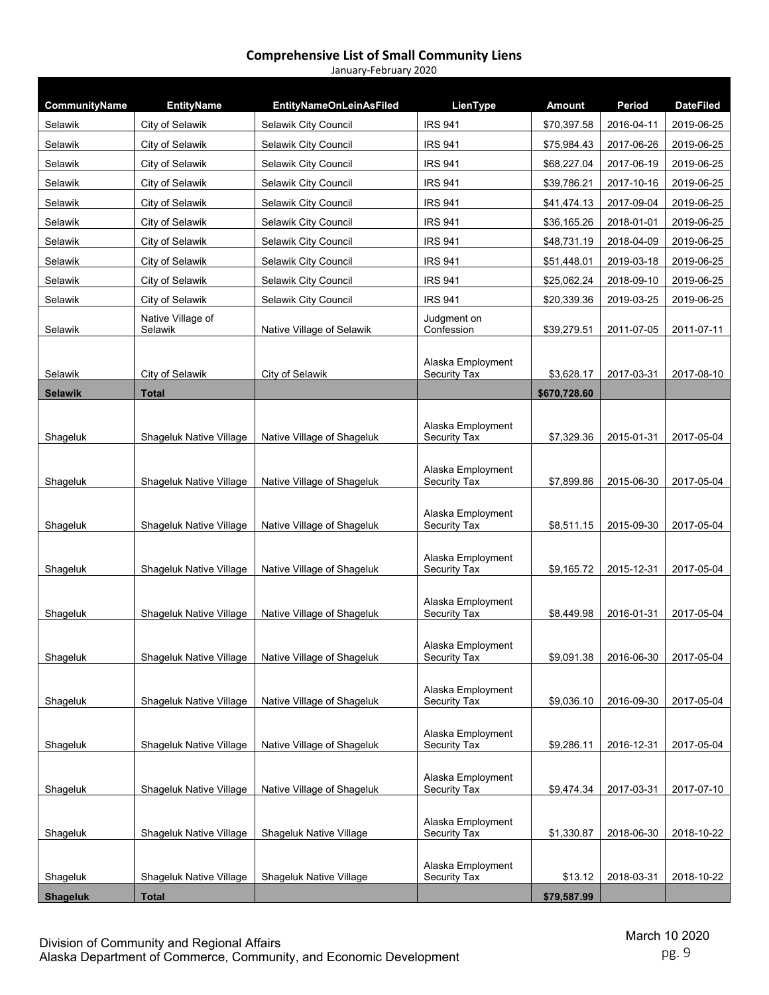| <b>IRS 941</b><br>City of Selawik<br>\$70,397.58<br>2016-04-11<br>2019-06-25<br>Selawik<br>Selawik City Council<br>Selawik<br>City of Selawik<br>Selawik City Council<br><b>IRS 941</b><br>\$75,984.43<br>2017-06-26<br>2019-06-25<br>Selawik<br>City of Selawik<br>Selawik City Council<br><b>IRS 941</b><br>\$68,227.04<br>2017-06-19<br>2019-06-25<br>Selawik<br>Selawik City Council<br><b>IRS 941</b><br>\$39,786.21<br>2017-10-16<br>2019-06-25<br>City of Selawik<br>Selawik<br>City of Selawik<br>Selawik City Council<br><b>IRS 941</b><br>2017-09-04<br>\$41,474.13<br>2019-06-25<br>Selawik<br>City of Selawik<br>Selawik City Council<br><b>IRS 941</b><br>\$36,165.26<br>2018-01-01<br>2019-06-25<br>Selawik<br>City of Selawik<br>Selawik City Council<br><b>IRS 941</b><br>\$48,731.19<br>2018-04-09<br>2019-06-25<br>Selawik<br>City of Selawik<br><b>IRS 941</b><br>\$51,448.01<br>2019-03-18<br>Selawik City Council<br>2019-06-25<br><b>IRS 941</b><br>Selawik<br>City of Selawik<br>Selawik City Council<br>\$25,062.24<br>2018-09-10<br>2019-06-25<br>Selawik City Council<br><b>IRS 941</b><br>\$20,339.36<br>2019-03-25<br>Selawik<br>City of Selawik<br>2019-06-25<br>Native Village of<br>Judgment on<br>Selawik<br>Confession<br>2011-07-11<br>Selawik<br>Native Village of Selawik<br>\$39,279.51<br>2011-07-05<br>Alaska Employment<br>City of Selawik<br>City of Selawik<br>Security Tax<br>\$3.628.17<br>2017-03-31<br>2017-08-10<br>Selawik<br><b>Selawik</b><br><b>Total</b><br>\$670,728.60<br>Alaska Employment<br>Shageluk<br>Native Village of Shageluk<br>Security Tax<br>\$7,329.36<br>2015-01-31<br>2017-05-04<br>Shageluk Native Village<br>Alaska Employment<br>Native Village of Shageluk<br>Security Tax<br>\$7,899.86<br>2015-06-30<br>2017-05-04<br>Shageluk<br>Shageluk Native Village<br>Alaska Employment<br>Native Village of Shageluk<br>Security Tax<br>Shageluk<br>Shageluk Native Village<br>\$8,511.15<br>2015-09-30<br>2017-05-04<br>Alaska Employment<br>Native Village of Shageluk<br>Security Tax<br>\$9,165.72<br>2015-12-31<br>2017-05-04<br>Shageluk<br>Shageluk Native Village<br>Alaska Employment<br>Shageluk<br>Shageluk Native Village<br>Native Village of Shageluk<br>Security Tax<br>\$8,449.98<br>2016-01-31<br>2017-05-04<br>Alaska Employment<br>2017-05-04<br>Shageluk<br>Shageluk Native Village<br>Native Village of Shageluk<br>Security Tax<br>\$9,091.38<br>2016-06-30<br>Alaska Employment<br>Native Village of Shageluk<br>\$9,036.10<br>2016-09-30<br>2017-05-04<br>Shageluk<br>Shageluk Native Village<br>Security Tax<br>Alaska Employment<br>Shageluk Native Village<br>Native Village of Shageluk<br>Security Tax<br>\$9,286.11<br>2016-12-31<br>2017-05-04<br>Shageluk<br>Alaska Employment<br>Shageluk<br>Shageluk Native Village<br>Native Village of Shageluk<br>Security Tax<br>\$9,474.34<br>2017-03-31<br>2017-07-10<br>Alaska Employment<br>2018-10-22<br>Shageluk<br>Shageluk Native Village<br>Shageluk Native Village<br>Security Tax<br>\$1,330.87<br>2018-06-30<br>Alaska Employment<br>2018-03-31<br>2018-10-22<br>Shageluk<br>Shageluk Native Village<br>Shageluk Native Village<br>Security Tax<br>\$13.12 |                 |                   |                                |          |               |        |                  |
|-----------------------------------------------------------------------------------------------------------------------------------------------------------------------------------------------------------------------------------------------------------------------------------------------------------------------------------------------------------------------------------------------------------------------------------------------------------------------------------------------------------------------------------------------------------------------------------------------------------------------------------------------------------------------------------------------------------------------------------------------------------------------------------------------------------------------------------------------------------------------------------------------------------------------------------------------------------------------------------------------------------------------------------------------------------------------------------------------------------------------------------------------------------------------------------------------------------------------------------------------------------------------------------------------------------------------------------------------------------------------------------------------------------------------------------------------------------------------------------------------------------------------------------------------------------------------------------------------------------------------------------------------------------------------------------------------------------------------------------------------------------------------------------------------------------------------------------------------------------------------------------------------------------------------------------------------------------------------------------------------------------------------------------------------------------------------------------------------------------------------------------------------------------------------------------------------------------------------------------------------------------------------------------------------------------------------------------------------------------------------------------------------------------------------------------------------------------------------------------------------------------------------------------------------------------------------------------------------------------------------------------------------------------------------------------------------------------------------------------------------------------------------------------------------------------------------------------------------------------------------------------------------------------------------------------------------------------------------------------------------------------------------------------------------------------------------------------------------------------------------------------------------------------------------------------------------------------------|-----------------|-------------------|--------------------------------|----------|---------------|--------|------------------|
|                                                                                                                                                                                                                                                                                                                                                                                                                                                                                                                                                                                                                                                                                                                                                                                                                                                                                                                                                                                                                                                                                                                                                                                                                                                                                                                                                                                                                                                                                                                                                                                                                                                                                                                                                                                                                                                                                                                                                                                                                                                                                                                                                                                                                                                                                                                                                                                                                                                                                                                                                                                                                                                                                                                                                                                                                                                                                                                                                                                                                                                                                                                                                                                                                 | CommunityName   | <b>EntityName</b> | <b>EntityNameOnLeinAsFiled</b> | LienType | <b>Amount</b> | Period | <b>DateFiled</b> |
|                                                                                                                                                                                                                                                                                                                                                                                                                                                                                                                                                                                                                                                                                                                                                                                                                                                                                                                                                                                                                                                                                                                                                                                                                                                                                                                                                                                                                                                                                                                                                                                                                                                                                                                                                                                                                                                                                                                                                                                                                                                                                                                                                                                                                                                                                                                                                                                                                                                                                                                                                                                                                                                                                                                                                                                                                                                                                                                                                                                                                                                                                                                                                                                                                 |                 |                   |                                |          |               |        |                  |
|                                                                                                                                                                                                                                                                                                                                                                                                                                                                                                                                                                                                                                                                                                                                                                                                                                                                                                                                                                                                                                                                                                                                                                                                                                                                                                                                                                                                                                                                                                                                                                                                                                                                                                                                                                                                                                                                                                                                                                                                                                                                                                                                                                                                                                                                                                                                                                                                                                                                                                                                                                                                                                                                                                                                                                                                                                                                                                                                                                                                                                                                                                                                                                                                                 |                 |                   |                                |          |               |        |                  |
|                                                                                                                                                                                                                                                                                                                                                                                                                                                                                                                                                                                                                                                                                                                                                                                                                                                                                                                                                                                                                                                                                                                                                                                                                                                                                                                                                                                                                                                                                                                                                                                                                                                                                                                                                                                                                                                                                                                                                                                                                                                                                                                                                                                                                                                                                                                                                                                                                                                                                                                                                                                                                                                                                                                                                                                                                                                                                                                                                                                                                                                                                                                                                                                                                 |                 |                   |                                |          |               |        |                  |
|                                                                                                                                                                                                                                                                                                                                                                                                                                                                                                                                                                                                                                                                                                                                                                                                                                                                                                                                                                                                                                                                                                                                                                                                                                                                                                                                                                                                                                                                                                                                                                                                                                                                                                                                                                                                                                                                                                                                                                                                                                                                                                                                                                                                                                                                                                                                                                                                                                                                                                                                                                                                                                                                                                                                                                                                                                                                                                                                                                                                                                                                                                                                                                                                                 |                 |                   |                                |          |               |        |                  |
|                                                                                                                                                                                                                                                                                                                                                                                                                                                                                                                                                                                                                                                                                                                                                                                                                                                                                                                                                                                                                                                                                                                                                                                                                                                                                                                                                                                                                                                                                                                                                                                                                                                                                                                                                                                                                                                                                                                                                                                                                                                                                                                                                                                                                                                                                                                                                                                                                                                                                                                                                                                                                                                                                                                                                                                                                                                                                                                                                                                                                                                                                                                                                                                                                 |                 |                   |                                |          |               |        |                  |
|                                                                                                                                                                                                                                                                                                                                                                                                                                                                                                                                                                                                                                                                                                                                                                                                                                                                                                                                                                                                                                                                                                                                                                                                                                                                                                                                                                                                                                                                                                                                                                                                                                                                                                                                                                                                                                                                                                                                                                                                                                                                                                                                                                                                                                                                                                                                                                                                                                                                                                                                                                                                                                                                                                                                                                                                                                                                                                                                                                                                                                                                                                                                                                                                                 |                 |                   |                                |          |               |        |                  |
|                                                                                                                                                                                                                                                                                                                                                                                                                                                                                                                                                                                                                                                                                                                                                                                                                                                                                                                                                                                                                                                                                                                                                                                                                                                                                                                                                                                                                                                                                                                                                                                                                                                                                                                                                                                                                                                                                                                                                                                                                                                                                                                                                                                                                                                                                                                                                                                                                                                                                                                                                                                                                                                                                                                                                                                                                                                                                                                                                                                                                                                                                                                                                                                                                 |                 |                   |                                |          |               |        |                  |
|                                                                                                                                                                                                                                                                                                                                                                                                                                                                                                                                                                                                                                                                                                                                                                                                                                                                                                                                                                                                                                                                                                                                                                                                                                                                                                                                                                                                                                                                                                                                                                                                                                                                                                                                                                                                                                                                                                                                                                                                                                                                                                                                                                                                                                                                                                                                                                                                                                                                                                                                                                                                                                                                                                                                                                                                                                                                                                                                                                                                                                                                                                                                                                                                                 |                 |                   |                                |          |               |        |                  |
|                                                                                                                                                                                                                                                                                                                                                                                                                                                                                                                                                                                                                                                                                                                                                                                                                                                                                                                                                                                                                                                                                                                                                                                                                                                                                                                                                                                                                                                                                                                                                                                                                                                                                                                                                                                                                                                                                                                                                                                                                                                                                                                                                                                                                                                                                                                                                                                                                                                                                                                                                                                                                                                                                                                                                                                                                                                                                                                                                                                                                                                                                                                                                                                                                 |                 |                   |                                |          |               |        |                  |
|                                                                                                                                                                                                                                                                                                                                                                                                                                                                                                                                                                                                                                                                                                                                                                                                                                                                                                                                                                                                                                                                                                                                                                                                                                                                                                                                                                                                                                                                                                                                                                                                                                                                                                                                                                                                                                                                                                                                                                                                                                                                                                                                                                                                                                                                                                                                                                                                                                                                                                                                                                                                                                                                                                                                                                                                                                                                                                                                                                                                                                                                                                                                                                                                                 |                 |                   |                                |          |               |        |                  |
|                                                                                                                                                                                                                                                                                                                                                                                                                                                                                                                                                                                                                                                                                                                                                                                                                                                                                                                                                                                                                                                                                                                                                                                                                                                                                                                                                                                                                                                                                                                                                                                                                                                                                                                                                                                                                                                                                                                                                                                                                                                                                                                                                                                                                                                                                                                                                                                                                                                                                                                                                                                                                                                                                                                                                                                                                                                                                                                                                                                                                                                                                                                                                                                                                 |                 |                   |                                |          |               |        |                  |
|                                                                                                                                                                                                                                                                                                                                                                                                                                                                                                                                                                                                                                                                                                                                                                                                                                                                                                                                                                                                                                                                                                                                                                                                                                                                                                                                                                                                                                                                                                                                                                                                                                                                                                                                                                                                                                                                                                                                                                                                                                                                                                                                                                                                                                                                                                                                                                                                                                                                                                                                                                                                                                                                                                                                                                                                                                                                                                                                                                                                                                                                                                                                                                                                                 |                 |                   |                                |          |               |        |                  |
|                                                                                                                                                                                                                                                                                                                                                                                                                                                                                                                                                                                                                                                                                                                                                                                                                                                                                                                                                                                                                                                                                                                                                                                                                                                                                                                                                                                                                                                                                                                                                                                                                                                                                                                                                                                                                                                                                                                                                                                                                                                                                                                                                                                                                                                                                                                                                                                                                                                                                                                                                                                                                                                                                                                                                                                                                                                                                                                                                                                                                                                                                                                                                                                                                 |                 |                   |                                |          |               |        |                  |
|                                                                                                                                                                                                                                                                                                                                                                                                                                                                                                                                                                                                                                                                                                                                                                                                                                                                                                                                                                                                                                                                                                                                                                                                                                                                                                                                                                                                                                                                                                                                                                                                                                                                                                                                                                                                                                                                                                                                                                                                                                                                                                                                                                                                                                                                                                                                                                                                                                                                                                                                                                                                                                                                                                                                                                                                                                                                                                                                                                                                                                                                                                                                                                                                                 |                 |                   |                                |          |               |        |                  |
|                                                                                                                                                                                                                                                                                                                                                                                                                                                                                                                                                                                                                                                                                                                                                                                                                                                                                                                                                                                                                                                                                                                                                                                                                                                                                                                                                                                                                                                                                                                                                                                                                                                                                                                                                                                                                                                                                                                                                                                                                                                                                                                                                                                                                                                                                                                                                                                                                                                                                                                                                                                                                                                                                                                                                                                                                                                                                                                                                                                                                                                                                                                                                                                                                 |                 |                   |                                |          |               |        |                  |
|                                                                                                                                                                                                                                                                                                                                                                                                                                                                                                                                                                                                                                                                                                                                                                                                                                                                                                                                                                                                                                                                                                                                                                                                                                                                                                                                                                                                                                                                                                                                                                                                                                                                                                                                                                                                                                                                                                                                                                                                                                                                                                                                                                                                                                                                                                                                                                                                                                                                                                                                                                                                                                                                                                                                                                                                                                                                                                                                                                                                                                                                                                                                                                                                                 |                 |                   |                                |          |               |        |                  |
|                                                                                                                                                                                                                                                                                                                                                                                                                                                                                                                                                                                                                                                                                                                                                                                                                                                                                                                                                                                                                                                                                                                                                                                                                                                                                                                                                                                                                                                                                                                                                                                                                                                                                                                                                                                                                                                                                                                                                                                                                                                                                                                                                                                                                                                                                                                                                                                                                                                                                                                                                                                                                                                                                                                                                                                                                                                                                                                                                                                                                                                                                                                                                                                                                 |                 |                   |                                |          |               |        |                  |
|                                                                                                                                                                                                                                                                                                                                                                                                                                                                                                                                                                                                                                                                                                                                                                                                                                                                                                                                                                                                                                                                                                                                                                                                                                                                                                                                                                                                                                                                                                                                                                                                                                                                                                                                                                                                                                                                                                                                                                                                                                                                                                                                                                                                                                                                                                                                                                                                                                                                                                                                                                                                                                                                                                                                                                                                                                                                                                                                                                                                                                                                                                                                                                                                                 |                 |                   |                                |          |               |        |                  |
|                                                                                                                                                                                                                                                                                                                                                                                                                                                                                                                                                                                                                                                                                                                                                                                                                                                                                                                                                                                                                                                                                                                                                                                                                                                                                                                                                                                                                                                                                                                                                                                                                                                                                                                                                                                                                                                                                                                                                                                                                                                                                                                                                                                                                                                                                                                                                                                                                                                                                                                                                                                                                                                                                                                                                                                                                                                                                                                                                                                                                                                                                                                                                                                                                 |                 |                   |                                |          |               |        |                  |
|                                                                                                                                                                                                                                                                                                                                                                                                                                                                                                                                                                                                                                                                                                                                                                                                                                                                                                                                                                                                                                                                                                                                                                                                                                                                                                                                                                                                                                                                                                                                                                                                                                                                                                                                                                                                                                                                                                                                                                                                                                                                                                                                                                                                                                                                                                                                                                                                                                                                                                                                                                                                                                                                                                                                                                                                                                                                                                                                                                                                                                                                                                                                                                                                                 |                 |                   |                                |          |               |        |                  |
|                                                                                                                                                                                                                                                                                                                                                                                                                                                                                                                                                                                                                                                                                                                                                                                                                                                                                                                                                                                                                                                                                                                                                                                                                                                                                                                                                                                                                                                                                                                                                                                                                                                                                                                                                                                                                                                                                                                                                                                                                                                                                                                                                                                                                                                                                                                                                                                                                                                                                                                                                                                                                                                                                                                                                                                                                                                                                                                                                                                                                                                                                                                                                                                                                 |                 |                   |                                |          |               |        |                  |
|                                                                                                                                                                                                                                                                                                                                                                                                                                                                                                                                                                                                                                                                                                                                                                                                                                                                                                                                                                                                                                                                                                                                                                                                                                                                                                                                                                                                                                                                                                                                                                                                                                                                                                                                                                                                                                                                                                                                                                                                                                                                                                                                                                                                                                                                                                                                                                                                                                                                                                                                                                                                                                                                                                                                                                                                                                                                                                                                                                                                                                                                                                                                                                                                                 |                 |                   |                                |          |               |        |                  |
|                                                                                                                                                                                                                                                                                                                                                                                                                                                                                                                                                                                                                                                                                                                                                                                                                                                                                                                                                                                                                                                                                                                                                                                                                                                                                                                                                                                                                                                                                                                                                                                                                                                                                                                                                                                                                                                                                                                                                                                                                                                                                                                                                                                                                                                                                                                                                                                                                                                                                                                                                                                                                                                                                                                                                                                                                                                                                                                                                                                                                                                                                                                                                                                                                 |                 |                   |                                |          |               |        |                  |
|                                                                                                                                                                                                                                                                                                                                                                                                                                                                                                                                                                                                                                                                                                                                                                                                                                                                                                                                                                                                                                                                                                                                                                                                                                                                                                                                                                                                                                                                                                                                                                                                                                                                                                                                                                                                                                                                                                                                                                                                                                                                                                                                                                                                                                                                                                                                                                                                                                                                                                                                                                                                                                                                                                                                                                                                                                                                                                                                                                                                                                                                                                                                                                                                                 |                 |                   |                                |          |               |        |                  |
|                                                                                                                                                                                                                                                                                                                                                                                                                                                                                                                                                                                                                                                                                                                                                                                                                                                                                                                                                                                                                                                                                                                                                                                                                                                                                                                                                                                                                                                                                                                                                                                                                                                                                                                                                                                                                                                                                                                                                                                                                                                                                                                                                                                                                                                                                                                                                                                                                                                                                                                                                                                                                                                                                                                                                                                                                                                                                                                                                                                                                                                                                                                                                                                                                 |                 |                   |                                |          |               |        |                  |
|                                                                                                                                                                                                                                                                                                                                                                                                                                                                                                                                                                                                                                                                                                                                                                                                                                                                                                                                                                                                                                                                                                                                                                                                                                                                                                                                                                                                                                                                                                                                                                                                                                                                                                                                                                                                                                                                                                                                                                                                                                                                                                                                                                                                                                                                                                                                                                                                                                                                                                                                                                                                                                                                                                                                                                                                                                                                                                                                                                                                                                                                                                                                                                                                                 |                 |                   |                                |          |               |        |                  |
|                                                                                                                                                                                                                                                                                                                                                                                                                                                                                                                                                                                                                                                                                                                                                                                                                                                                                                                                                                                                                                                                                                                                                                                                                                                                                                                                                                                                                                                                                                                                                                                                                                                                                                                                                                                                                                                                                                                                                                                                                                                                                                                                                                                                                                                                                                                                                                                                                                                                                                                                                                                                                                                                                                                                                                                                                                                                                                                                                                                                                                                                                                                                                                                                                 | <b>Shageluk</b> | <b>Total</b>      |                                |          | \$79,587.99   |        |                  |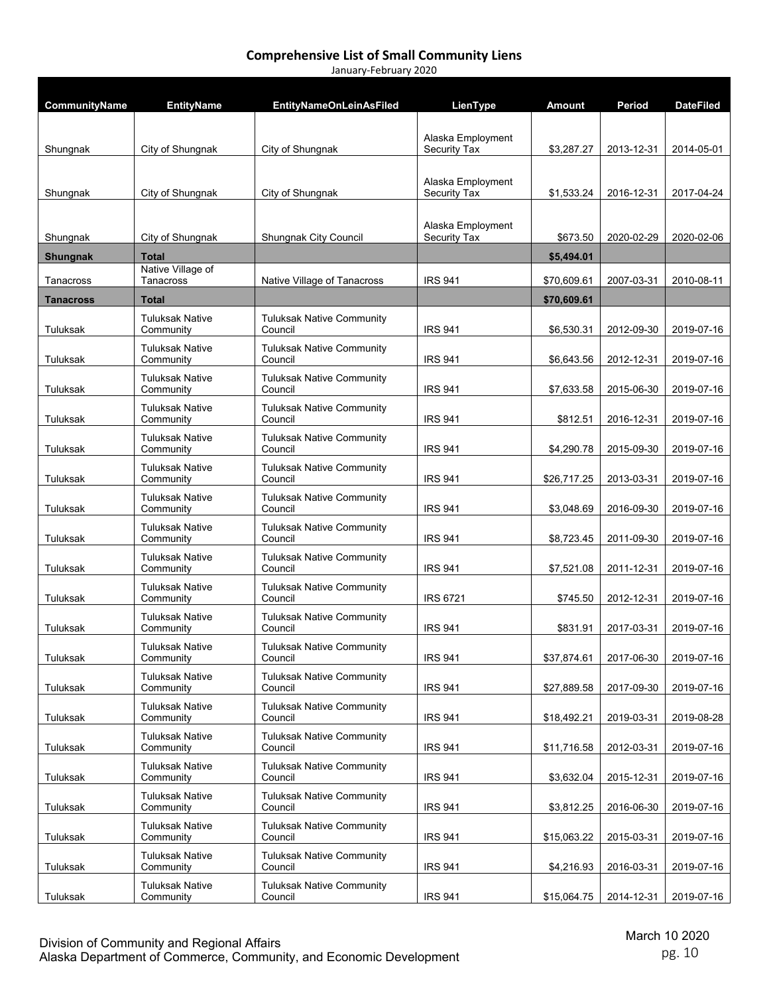| CommunityName   | <b>EntityName</b>                   | <b>EntityNameOnLeinAsFiled</b>              | LienType                          | <b>Amount</b> | Period     | <b>DateFiled</b> |
|-----------------|-------------------------------------|---------------------------------------------|-----------------------------------|---------------|------------|------------------|
|                 |                                     |                                             |                                   |               |            |                  |
| Shungnak        | City of Shungnak                    | City of Shungnak                            | Alaska Employment<br>Security Tax | \$3,287.27    | 2013-12-31 | 2014-05-01       |
|                 |                                     |                                             |                                   |               |            |                  |
| Shungnak        | City of Shungnak                    | City of Shungnak                            | Alaska Employment<br>Security Tax | \$1,533.24    | 2016-12-31 | 2017-04-24       |
|                 |                                     |                                             |                                   |               |            |                  |
| Shungnak        | City of Shungnak                    | <b>Shungnak City Council</b>                | Alaska Employment<br>Security Tax | \$673.50      | 2020-02-29 | 2020-02-06       |
| <b>Shungnak</b> | <b>Total</b>                        |                                             |                                   | \$5,494.01    |            |                  |
| Tanacross       | Native Village of<br>Tanacross      | Native Village of Tanacross                 | <b>IRS 941</b>                    | \$70,609.61   | 2007-03-31 | 2010-08-11       |
| Tanacross       | <b>Total</b>                        |                                             |                                   | \$70,609.61   |            |                  |
| Tuluksak        | <b>Tuluksak Native</b><br>Community | <b>Tuluksak Native Community</b><br>Council | <b>IRS 941</b>                    | \$6,530.31    | 2012-09-30 | 2019-07-16       |
| Tuluksak        | <b>Tuluksak Native</b><br>Community | <b>Tuluksak Native Community</b><br>Council | <b>IRS 941</b>                    | \$6,643.56    | 2012-12-31 | 2019-07-16       |
|                 | <b>Tuluksak Native</b>              | <b>Tuluksak Native Community</b>            |                                   |               |            |                  |
| Tuluksak        | Community                           | Council                                     | <b>IRS 941</b>                    | \$7,633.58    | 2015-06-30 | 2019-07-16       |
| Tuluksak        | <b>Tuluksak Native</b><br>Community | <b>Tuluksak Native Community</b><br>Council | <b>IRS 941</b>                    | \$812.51      | 2016-12-31 | 2019-07-16       |
| Tuluksak        | <b>Tuluksak Native</b><br>Community | <b>Tuluksak Native Community</b><br>Council | <b>IRS 941</b>                    | \$4,290.78    | 2015-09-30 | 2019-07-16       |
| Tuluksak        | <b>Tuluksak Native</b><br>Community | <b>Tuluksak Native Community</b><br>Council | <b>IRS 941</b>                    | \$26,717.25   | 2013-03-31 | 2019-07-16       |
| Tuluksak        | <b>Tuluksak Native</b><br>Community | <b>Tuluksak Native Community</b><br>Council | <b>IRS 941</b>                    | \$3,048.69    | 2016-09-30 | 2019-07-16       |
| Tuluksak        | <b>Tuluksak Native</b><br>Community | <b>Tuluksak Native Community</b><br>Council | <b>IRS 941</b>                    | \$8,723.45    | 2011-09-30 | 2019-07-16       |
| Tuluksak        | <b>Tuluksak Native</b><br>Community | <b>Tuluksak Native Community</b><br>Council | <b>IRS 941</b>                    | \$7,521.08    | 2011-12-31 | 2019-07-16       |
| Tuluksak        | <b>Tuluksak Native</b><br>Community | <b>Tuluksak Native Community</b><br>Council | <b>IRS 6721</b>                   | \$745.50      | 2012-12-31 | 2019-07-16       |
| Tuluksak        | <b>Tuluksak Native</b><br>Community | <b>Tuluksak Native Community</b><br>Council | <b>IRS 941</b>                    | \$831.91      | 2017-03-31 | 2019-07-16       |
| Tuluksak        | <b>Tuluksak Native</b><br>Community | <b>Tuluksak Native Community</b><br>Council | <b>IRS 941</b>                    | \$37,874.61   | 2017-06-30 | 2019-07-16       |
| Tuluksak        | <b>Tuluksak Native</b><br>Community | <b>Tuluksak Native Community</b><br>Council | <b>IRS 941</b>                    | \$27,889.58   | 2017-09-30 | 2019-07-16       |
| Tuluksak        | <b>Tuluksak Native</b><br>Community | <b>Tuluksak Native Community</b><br>Council | <b>IRS 941</b>                    | \$18,492.21   | 2019-03-31 | 2019-08-28       |
| Tuluksak        | <b>Tuluksak Native</b><br>Community | <b>Tuluksak Native Community</b><br>Council | <b>IRS 941</b>                    | \$11,716.58   | 2012-03-31 | 2019-07-16       |
| Tuluksak        | <b>Tuluksak Native</b><br>Community | <b>Tuluksak Native Community</b><br>Council | <b>IRS 941</b>                    | \$3,632.04    | 2015-12-31 | 2019-07-16       |
| Tuluksak        | <b>Tuluksak Native</b><br>Community | <b>Tuluksak Native Community</b><br>Council | <b>IRS 941</b>                    | \$3,812.25    | 2016-06-30 | 2019-07-16       |
| Tuluksak        | <b>Tuluksak Native</b><br>Community | <b>Tuluksak Native Community</b><br>Council | <b>IRS 941</b>                    | \$15,063.22   | 2015-03-31 | 2019-07-16       |
| Tuluksak        | <b>Tuluksak Native</b><br>Community | <b>Tuluksak Native Community</b><br>Council | <b>IRS 941</b>                    | \$4,216.93    | 2016-03-31 | 2019-07-16       |
| Tuluksak        | <b>Tuluksak Native</b><br>Community | <b>Tuluksak Native Community</b><br>Council | <b>IRS 941</b>                    | \$15,064.75   | 2014-12-31 | 2019-07-16       |